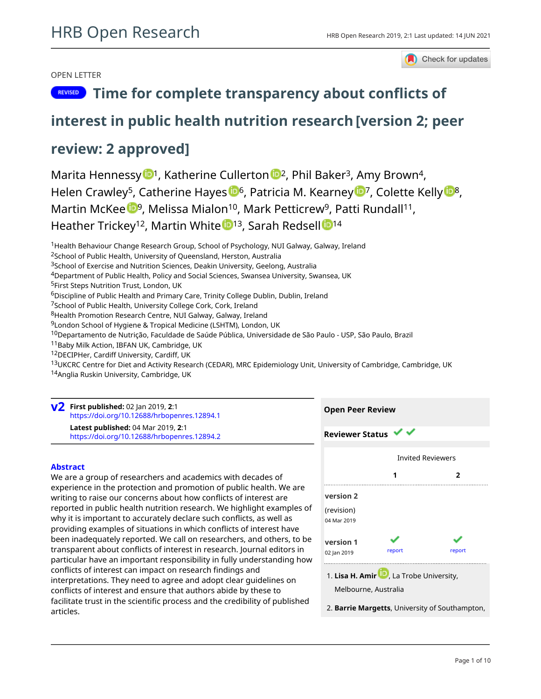## OPEN LETTER

Check for updates

# **REVISED** [Time for complete transparency about conflicts of](https://hrbopenresearch.org/articles/2-1/v2)

## **[interest in public health nutrition research](https://hrbopenresearch.org/articles/2-1/v2)[version 2; peer**

## **review: 2 approved]**

Marita Hennessy  $\mathbb{D}^1$  $\mathbb{D}^1$ , Katherine Cullerton  $\mathbb{D}^2$ , Phil Baker<sup>3</sup>, Amy Brown<sup>4</sup>, Helen Crawley<[s](https://orcid.org/0000-0002-1576-4623)up>5</sup>, Catherine Ha[y](https://orcid.org/0000-0001-7598-0160)es  $\mathbb{D}^6$ , Patricia M. Kearney  $\mathbb{D}^7$ , Colette Kelly  $\mathbb{D}^8$ , Martin McK[e](https://orcid.org/0000-0002-0121-9683)e <sup>19</sup>, Melissa Mialon<sup>10</sup>, Mark Petticrew<sup>9</sup>, Patti Rundall<sup>11</sup>, H[e](https://orcid.org/0000-0002-1861-6757)ather Trickey<sup>[1](https://orcid.org/0000-0002-2176-2325)2</sup>, Martin White <sup>13</sup>, Sarah Redsell <sup>14</sup>

<sup>1</sup> Health Behaviour Change Research Group, School of Psychology, NUI Galway, Galway, Ireland

<sup>2</sup>School of Public Health, University of Queensland, Herston, Australia

<sup>3</sup>School of Exercise and Nutrition Sciences, Deakin University, Geelong, Australia

- <sup>4</sup>Department of Public Health, Policy and Social Sciences, Swansea University, Swansea, UK
- <sup>5</sup>First Steps Nutrition Trust, London, UK

<sup>6</sup>Discipline of Public Health and Primary Care, Trinity College Dublin, Dublin, Ireland

<sup>7</sup>School of Public Health, University College Cork, Cork, Ireland

<sup>8</sup>Health Promotion Research Centre, NUI Galway, Galway, Ireland

<sup>9</sup>London School of Hygiene & Tropical Medicine (LSHTM), London, UK

<sup>10</sup>Departamento de Nutrição, Faculdade de Saúde Pública, Universidade de São Paulo - USP, São Paulo, Brazil

11Baby Milk Action, IBFAN UK, Cambridge, UK

<sup>12</sup>DECIPHer, Cardiff University, Cardiff, UK

13UKCRC Centre for Diet and Activity Research (CEDAR), MRC Epidemiology Unit, University of Cambridge, Cambridge, UK

<sup>14</sup>Anglia Ruskin University, Cambridge, UK

**First published:** 02 Jan 2019, **2**:1 **v2** <https://doi.org/10.12688/hrbopenres.12894.1> **Latest published:** 04 Mar 2019, **2**:1 <https://doi.org/10.12688/hrbopenres.12894.2>

### **Abstract**

We are a group of researchers and academics with decades of experience in the protection and promotion of public health. We are writing to raise our concerns about how conflicts of interest are reported in public health nutrition research. We highlight examples of why it is important to accurately declare such conflicts, as well as providing examples of situations in which conflicts of interest have been inadequately reported. We call on researchers, and others, to be transparent about conflicts of interest in research. Journal editors in particular have an important responsibility in fully understanding how conflicts of interest can impact on research findings and interpretations. They need to agree and adopt clear guidelines on conflicts of interest and ensure that authors abide by these to facilitate trust in the scientific process and the credibility of published articles.



**Open Peer Review**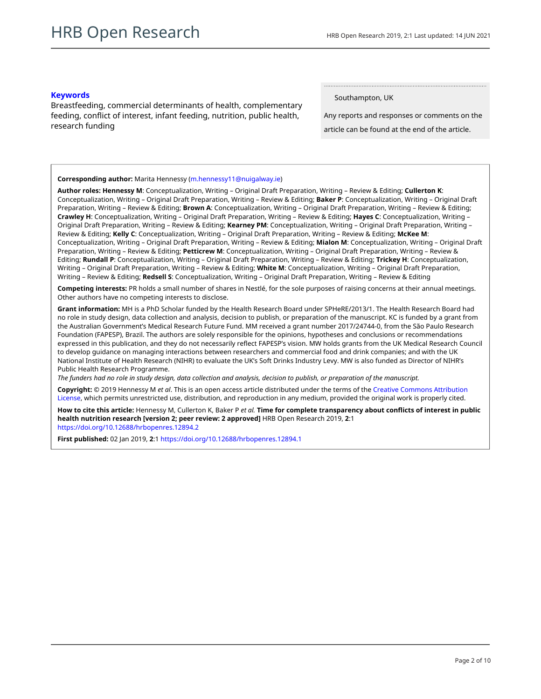### **Keywords**

Breastfeeding, commercial determinants of health, complementary feeding, conflict of interest, infant feeding, nutrition, public health, research funding

Southampton, UK

Any reports and responses or comments on the article can be found at the end of the article.

### **Corresponding author:** Marita Hennessy ([m.hennessy11@nuigalway.ie\)](mailto:m.hennessy11@nuigalway.ie)

**Author roles: Hennessy M**: Conceptualization, Writing – Original Draft Preparation, Writing – Review & Editing; **Cullerton K**: Conceptualization, Writing – Original Draft Preparation, Writing – Review & Editing; **Baker P**: Conceptualization, Writing – Original Draft Preparation, Writing – Review & Editing; **Brown A**: Conceptualization, Writing – Original Draft Preparation, Writing – Review & Editing; **Crawley H**: Conceptualization, Writing – Original Draft Preparation, Writing – Review & Editing; **Hayes C**: Conceptualization, Writing – Original Draft Preparation, Writing – Review & Editing; **Kearney PM**: Conceptualization, Writing – Original Draft Preparation, Writing – Review & Editing; **Kelly C**: Conceptualization, Writing – Original Draft Preparation, Writing – Review & Editing; **McKee M**: Conceptualization, Writing – Original Draft Preparation, Writing – Review & Editing; **Mialon M**: Conceptualization, Writing – Original Draft Preparation, Writing – Review & Editing; **Petticrew M**: Conceptualization, Writing – Original Draft Preparation, Writing – Review & Editing; **Rundall P**: Conceptualization, Writing – Original Draft Preparation, Writing – Review & Editing; **Trickey H**: Conceptualization, Writing – Original Draft Preparation, Writing – Review & Editing; **White M**: Conceptualization, Writing – Original Draft Preparation, Writing – Review & Editing; **Redsell S**: Conceptualization, Writing – Original Draft Preparation, Writing – Review & Editing

**Competing interests:** PR holds a small number of shares in Nestlé, for the sole purposes of raising concerns at their annual meetings. Other authors have no competing interests to disclose.

**Grant information:** MH is a PhD Scholar funded by the Health Research Board under SPHeRE/2013/1. The Health Research Board had no role in study design, data collection and analysis, decision to publish, or preparation of the manuscript. KC is funded by a grant from the Australian Government's Medical Research Future Fund. MM received a grant number 2017/24744-0, from the São Paulo Research Foundation (FAPESP), Brazil. The authors are solely responsible for the opinions, hypotheses and conclusions or recommendations expressed in this publication, and they do not necessarily reflect FAPESP's vision. MW holds grants from the UK Medical Research Council to develop guidance on managing interactions between researchers and commercial food and drink companies; and with the UK National Institute of Health Research (NIHR) to evaluate the UK's Soft Drinks Industry Levy. MW is also funded as Director of NIHR's Public Health Research Programme.

*The funders had no role in study design, data collection and analysis, decision to publish, or preparation of the manuscript.*

**Copyright:** © 2019 Hennessy M *et al*. This is an open access article distributed under the terms of the [Creative Commons Attribution](http://creativecommons.org/licenses/by/4.0/) [License](http://creativecommons.org/licenses/by/4.0/), which permits unrestricted use, distribution, and reproduction in any medium, provided the original work is properly cited.

**How to cite this article:** Hennessy M, Cullerton K, Baker P *et al.* **Time for complete transparency about conflicts of interest in public health nutrition research [version 2; peer review: 2 approved]** HRB Open Research 2019, **2**:1 <https://doi.org/10.12688/hrbopenres.12894.2>

**First published:** 02 Jan 2019, **2**:1 <https://doi.org/10.12688/hrbopenres.12894.1>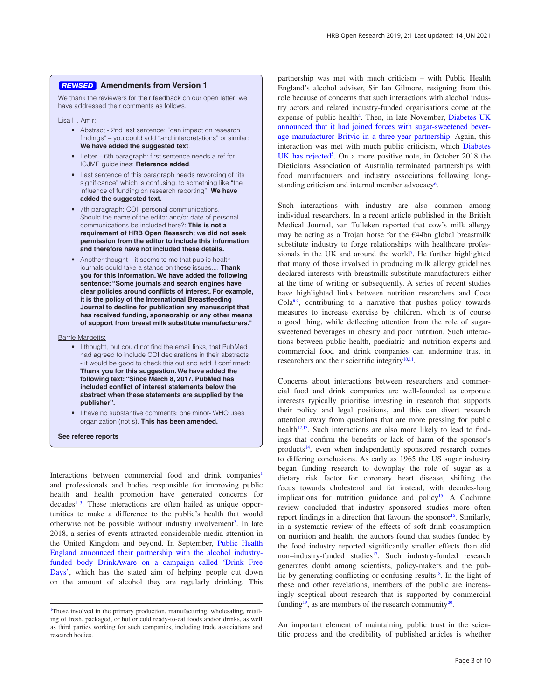### **Amendments from Version 1** *REVISED*

We thank the reviewers for their feedback on our open letter; we have addressed their comments as follows.

Lisa H. Amir:

- Abstract 2nd last sentence: "can impact on research findings" – you could add "and interpretations" or similar: **We have added the suggested text**.
- Letter 6th paragraph: first sentence needs a ref for ICJME guidelines: **Reference added**.
- Last sentence of this paragraph needs rewording of "its significance" which is confusing, to something like "the influence of funding on research reporting": **We have added the suggested text.**
- 7th paragraph: COI, personal communications. Should the name of the editor and/or date of personal communications be included here?: **This is not a requirement of HRB Open Research; we did not seek permission from the editor to include this information and therefore have not included these details.**
- Another thought it seems to me that public health journals could take a stance on these issues...: **Thank you for this information. We have added the following sentence: "Some journals and search engines have clear policies around conflicts of interest. For example, it is the policy of the International Breastfeeding Journal to decline for publication any manuscript that has received funding, sponsorship or any other means of support from breast milk substitute manufacturers."**

Barrie Margetts:

- I thought, but could not find the email links, that PubMed had agreed to include COI declarations in their abstracts - it would be good to check this out and add if confirmed: **Thank you for this suggestion. We have added the following text: "Since March 8, 2017, PubMed has included conflict of interest statements below the abstract when these statements are supplied by the publisher".**
- I have no substantive comments; one minor- WHO uses organization (not s). **This has been amended.**

**See referee reports**

Interactions between commercial food and drink companies<sup>1</sup> and professionals and bodies responsible for improving public health and health promotion have generated concerns for decades<sup>1-3</sup>. These interactions are often hailed as unique opportunities to make a difference to the public's health that would otherwise not be possible without industry involvement<sup>[3](#page-4-0)</sup>. In late 2018, a series of events attracted considerable media attention in the United Kingdom and beyond. In September, [Public Health](https://www.gov.uk/government/news/public-health-england-and-drinkaware-launch-drink-free-days)  [England announced their partnership with the alcohol industry](https://www.gov.uk/government/news/public-health-england-and-drinkaware-launch-drink-free-days)[funded body DrinkAware on a campaign called 'Drink Free](https://www.gov.uk/government/news/public-health-england-and-drinkaware-launch-drink-free-days)  [Days'](https://www.gov.uk/government/news/public-health-england-and-drinkaware-launch-drink-free-days), which has the stated aim of helping people cut down on the amount of alcohol they are regularly drinking. This

partnership was met with much criticism – with Public Health England's alcohol adviser, Sir Ian Gilmore, resigning from this role because of concerns that such interactions with alcohol industry actors and related industry-funded organisations come at the expense of public health<sup>[4](#page-4-0)</sup>. Then, in late November, Diabetes UK [announced that it had joined forces with sugar-sweetened bever](https://www.diabetes.org.uk/about-us/news/britvic-three-year-partnership)[age manufacturer Britvic in a three-year partnership](https://www.diabetes.org.uk/about-us/news/britvic-three-year-partnership). Again, this interaction was met with much public criticism, which [Diabetes](https://www.diabetes.co.uk/news/2018/nov/diabetes-uk-defends-sponsorship-deal-with-britvic-98872306.html)  [UK has rejected](https://www.diabetes.co.uk/news/2018/nov/diabetes-uk-defends-sponsorship-deal-with-britvic-98872306.html)<sup>[5](#page-4-0)</sup>. On a more positive note, in October 2018 the Dieticians Association of Australia terminated partnerships with food manufacturers and industry associations following long-standing criticism and internal member advocacy<sup>[6](#page-4-0)</sup>.

Such interactions with industry are also common among individual researchers. In a recent article published in the British Medical Journal, van Tulleken reported that cow's milk allergy may be acting as a Trojan horse for the €44bn global breastmilk substitute industry to forge relationships with healthcare professionals in the UK and around the world<sup>7</sup>. He further highlighted that many of those involved in producing milk allergy guidelines declared interests with breastmilk substitute manufacturers either at the time of writing or subsequently. A series of recent studies have highlighted links between nutrition researchers and Coca Cola<sup>[8,9](#page-4-0)</sup>, contributing to a narrative that pushes policy towards measures to increase exercise by children, which is of course a good thing, while deflecting attention from the role of sugarsweetened beverages in obesity and poor nutrition. Such interactions between public health, paediatric and nutrition experts and commercial food and drink companies can undermine trust in researchers and their scientific integrity<sup>10,11</sup>.

Concerns about interactions between researchers and commercial food and drink companies are well-founded as corporate interests typically prioritise investing in research that supports their policy and legal positions, and this can divert research attention away from questions that are more pressing for public health $12,13$ . Such interactions are also more likely to lead to findings that confirm the benefits or lack of harm of the sponsor's products<sup>14</sup>, even when independently sponsored research comes to differing conclusions. As early as 1965 the US sugar industry began funding research to downplay the role of sugar as a dietary risk factor for coronary heart disease, shifting the focus towards cholesterol and fat instead, with decades-long implications for nutrition guidance and policy<sup>15</sup>. A Cochrane review concluded that industry sponsored studies more often report findings in a direction that favours the sponsor<sup>16</sup>. Similarly, in a systematic review of the effects of soft drink consumption on nutrition and health, the authors found that studies funded by the food industry reported significantly smaller effects than did non–industry-funded studies<sup>17</sup>. Such industry-funded research generates doubt among scientists, policy-makers and the public by generating conflicting or confusing results<sup>18</sup>. In the light of these and other revelations, members of the public are increasingly sceptical about research that is supported by commercial funding<sup>19</sup>, as are members of the research community<sup>[20](#page-4-0)</sup>.

<sup>1</sup> Those involved in the primary production, manufacturing, wholesaling, retailing of fresh, packaged, or hot or cold ready-to-eat foods and/or drinks, as well as third parties working for such companies, including trade associations and research bodies.

An important element of maintaining public trust in the scientific process and the credibility of published articles is whether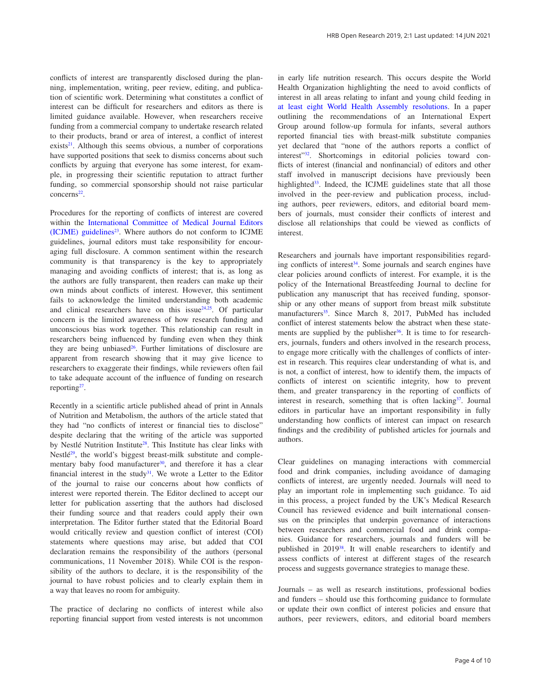conflicts of interest are transparently disclosed during the planning, implementation, writing, peer review, editing, and publication of scientific work. Determining what constitutes a conflict of interest can be difficult for researchers and editors as there is limited guidance available. However, when researchers receive funding from a commercial company to undertake research related to their products, brand or area of interest, a conflict of interest exists<sup>21</sup>. Although this seems obvious, a number of corporations have supported positions that seek to dismiss concerns about such conflicts by arguing that everyone has some interest, for example, in progressing their scientific reputation to attract further funding, so commercial sponsorship should not raise particular  $concerns<sup>22</sup>$ .

Procedures for the reporting of conflicts of interest are covered within the [International Committee of Medical Journal Editors](http://www.icmje.org/conflicts-of-interest/)   $(ICJME)$  guidelines<sup>23</sup>. Where authors do not conform to ICJME guidelines, journal editors must take responsibility for encouraging full disclosure. A common sentiment within the research community is that transparency is the key to appropriately managing and avoiding conflicts of interest; that is, as long as the authors are fully transparent, then readers can make up their own minds about conflicts of interest. However, this sentiment fails to acknowledge the limited understanding both academic and clinical researchers have on this issue $24.25$ . Of particular concern is the limited awareness of how research funding and unconscious bias work together. This relationship can result in researchers being influenced by funding even when they think they are being unbiased $26$ . Further limitations of disclosure are apparent from research showing that it may give licence to researchers to exaggerate their findings, while reviewers often fail to take adequate account of the influence of funding on research reporting<sup>27</sup>.

Recently in a scientific article published ahead of print in Annals of Nutrition and Metabolism, the authors of the article stated that they had "no conflicts of interest or financial ties to disclose" despite declaring that the writing of the article was supported by Nestlé Nutrition Institute<sup>28</sup>. This Institute has clear links with Nestlé<sup>29</sup>, the world's biggest breast-milk substitute and complementary baby food manufacturer $30$ , and therefore it has a clear financial interest in the study<sup>31</sup>. We wrote a Letter to the Editor of the journal to raise our concerns about how conflicts of interest were reported therein. The Editor declined to accept our letter for publication asserting that the authors had disclosed their funding source and that readers could apply their own interpretation. The Editor further stated that the Editorial Board would critically review and question conflict of interest (COI) statements where questions may arise, but added that COI declaration remains the responsibility of the authors (personal communications, 11 November 2018). While COI is the responsibility of the authors to declare, it is the responsibility of the journal to have robust policies and to clearly explain them in a way that leaves no room for ambiguity.

The practice of declaring no conflicts of interest while also reporting financial support from vested interests is not uncommon

in early life nutrition research. This occurs despite the World Health Organization highlighting the need to avoid conflicts of interest in all areas relating to infant and young child feeding in [at least eight World Health Assembly resolutions.](http://www.babymilkaction.org/conflicts-of-interest) In a paper outlining the recommendations of an International Expert Group around follow-up formula for infants, several authors reported financial ties with breast-milk substitute companies yet declared that "none of the authors reports a conflict of interest"<sup>32</sup>. Shortcomings in editorial policies toward conflicts of interest (financial and nonfinancial) of editors and other staff involved in manuscript decisions have previously been highlighted<sup>33</sup>. Indeed, the ICJME guidelines state that all those involved in the peer-review and publication process, including authors, peer reviewers, editors, and editorial board members of journals, must consider their conflicts of interest and disclose all relationships that could be viewed as conflicts of interest.

Researchers and journals have important responsibilities regarding conflicts of interest $34$ . Some journals and search engines have clear policies around conflicts of interest. For example, it is the policy of the International Breastfeeding Journal to decline for publication any manuscript that has received funding, sponsorship or any other means of support from breast milk substitute manufacturers<sup>35</sup>. Since March 8, 2017, PubMed has included conflict of interest statements below the abstract when these statements are supplied by the publisher  $36$ . It is time to for researchers, journals, funders and others involved in the research process, to engage more critically with the challenges of conflicts of interest in research. This requires clear understanding of what is, and is not, a conflict of interest, how to identify them, the impacts of conflicts of interest on scientific integrity, how to prevent them, and greater transparency in the reporting of conflicts of interest in research, something that is often lacking<sup>37</sup>. Journal editors in particular have an important responsibility in fully understanding how conflicts of interest can impact on research findings and the credibility of published articles for journals and authors.

Clear guidelines on managing interactions with commercial food and drink companies, including avoidance of damaging conflicts of interest, are urgently needed. Journals will need to play an important role in implementing such guidance. To aid in this process, a project funded by the UK's Medical Research Council has reviewed evidence and built international consensus on the principles that underpin governance of interactions between researchers and commercial food and drink companies. Guidance for researchers, journals and funders will be published in 2019[38](#page-5-0). It will enable researchers to identify and assess conflicts of interest at different stages of the research process and suggests governance strategies to manage these.

Journals – as well as research institutions, professional bodies and funders – should use this forthcoming guidance to formulate or update their own conflict of interest policies and ensure that authors, peer reviewers, editors, and editorial board members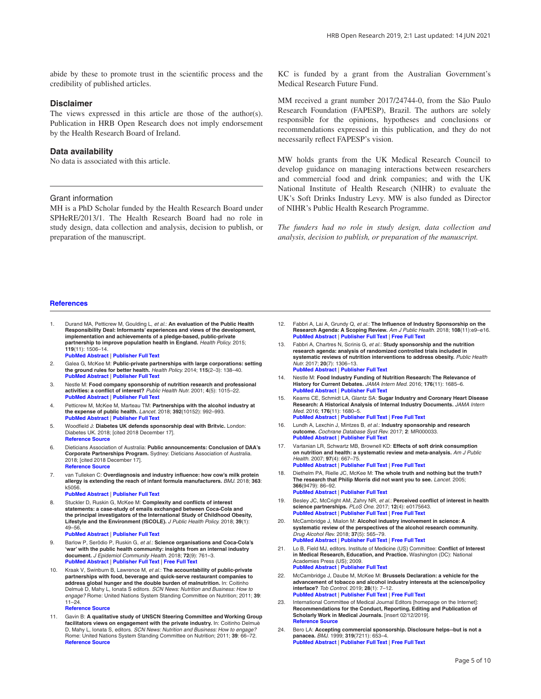<span id="page-4-0"></span>abide by these to promote trust in the scientific process and the credibility of published articles.

### **Disclaimer**

The views expressed in this article are those of the author(s). Publication in HRB Open Research does not imply endorsement by the Health Research Board of Ireland.

### **Data availability**

No data is associated with this article.

#### Grant information

MH is a PhD Scholar funded by the Health Research Board under SPHeRE/2013/1. The Health Research Board had no role in study design, data collection and analysis, decision to publish, or preparation of the manuscript.

KC is funded by a grant from the Australian Government's Medical Research Future Fund.

MM received a grant number 2017/24744-0, from the São Paulo Research Foundation (FAPESP), Brazil. The authors are solely responsible for the opinions, hypotheses and conclusions or recommendations expressed in this publication, and they do not necessarily reflect FAPESP's vision.

MW holds grants from the UK Medical Research Council to develop guidance on managing interactions between researchers and commercial food and drink companies; and with the UK National Institute of Health Research (NIHR) to evaluate the UK's Soft Drinks Industry Levy. MW is also funded as Director of NIHR's Public Health Research Programme.

*The funders had no role in study design, data collection and analysis, decision to publish, or preparation of the manuscript.*

#### **References**

- 1. Durand MA, Petticrew M, Goulding L, *et al.*: **An evaluation of the Public Health Responsibility Deal: Informants' experiences and views of the development, implementation and achievements of a pledge-based, public-private partnership to improve population health in England.** *Health Policy.* 2015; **119**(11): 1506–14. **PubMed [Abstract](http://www.ncbi.nlm.nih.gov/pubmed/26433565)** | **[Publisher](http://dx.doi.org/10.1016/j.healthpol.2015.08.013) Full Text**
- 2. Galea G, McKee M: **Public-private partnerships with large corporations: setting the ground rules for better health.** *Health Policy.* 2014; **115**(2–3): 138–40.
- **PubMed [Abstract](http://www.ncbi.nlm.nih.gov/pubmed/24581699)** | **[Publisher](http://dx.doi.org/10.1016/j.healthpol.2014.02.003) Full Text** 3. Nestle M: **Food company sponsorship of nutrition research and professional activities: a conflict of interest?** *Public Health Nutr.* 2001; **4**(5): 1015–22.
- **PubMed [Abstract](http://www.ncbi.nlm.nih.gov/pubmed/11784415)** | **[Publisher](http://dx.doi.org/10.1079/PHN2001253) Full Text** 4. Petticrew M, McKee M, Marteau TM: **Partnerships with the alcohol industry at**
- **the expense of public health.** *Lancet.* 2018; **392**(10152): 992–993. **PubMed [Abstract](http://www.ncbi.nlm.nih.gov/pubmed/30264711)** | **[Publisher](http://dx.doi.org/10.1016/S0140-6736(18)32320-1) Full Text**
- 5. Woodfield J: **Diabetes UK defends sponsorship deal with Britvic.** London: Diabetes UK. 2018; [cited 2018 December 17]. **[Reference](https://www.diabetes.co.uk/news/2018/nov/diabetes-uk-defends-sponsorship-deal-with-britvic-98872306.html) Source**
- 6. Dieticians Association of Australia: **Public announcements: Conclusion of DAA's Corporate Partnerships Program.** Sydney: Dieticians Association of Australia. 2018; [cited 2018 December 17]. **[Reference](https://daa.asn.au/voice-of-daa/public-statements/) Source**
- 7. van Tulleken C: **Overdiagnosis and industry influence: how cow's milk protein allergy is extending the reach of infant formula manufacturers.** *BMJ.* 2018; **363**: k5056. **PubMed [Abstract](http://www.ncbi.nlm.nih.gov/pubmed/30518598)** | **[Publisher](http://dx.doi.org/10.1136/bmj.k5056) Full Text**
	-
- 8. Stuckler D, Ruskin G, McKee M: **Complexity and conflicts of interest** statements: a case-study of emails exchanged between Coca-Cola and<br>the principal investigators of the International Study of Childhood Obesity, **Lifestyle and the Environment (ISCOLE).** *J Public Health Policy.* 2018; **39**(1): 49–56. **PubMed [Abstract](http://www.ncbi.nlm.nih.gov/pubmed/29180754)** | **[Publisher](http://dx.doi.org/10.1057/s41271-017-0095-7) Full Text**
- 9. Barlow P, Serôdio P, Ruskin G, *et al.*: **Science organisations and Coca-Cola's 'war' with the public health community: insights from an internal industry document.** *J Epidemiol Community Health.* 2018; **72**(9): 761–3. **PubMed [Abstract](http://www.ncbi.nlm.nih.gov/pubmed/29540465)** | **[Publisher](http://dx.doi.org/10.1136/jech-2017-210375) Full Text** | **[Free](http://www.ncbi.nlm.nih.gov/pmc/articles/6109246) Full Text**
- 10. Kraak V, Swinburn B, Lawrence M, *et al.*: **The accountability of public-private partnerships with food, beverage and quick-serve restaurant companies to address global hunger and the double burden of malnutrition.** In: Coitinho Delmuè D, Mahy L, Ionata S editors. *SCN News: Nutrition and Business: How to engage?* Rome: United Nations System Standing Committee on Nutrition; 2011; **39**: 11–24. **[Reference](http://dro.deakin.edu.au/eserv/DU:30042067/kraak-theaccountability-2011.pdf) Source**
- 11. Gavin B: **A qualitative study of UNSCN Steering Committee and Working Group facilitators views on engagement with the private industry.** In: Coitinho Delmuè D, Mahy L, Ionata S, editors. *SCN News: Nutrition and Business: How to engage?* Rome: United Nations System Standing Committee on Nutrition; 2011; **39**: 66–72. **[Reference](https://www.cabdirect.org/cabdirect/abstract/20123084171) Source**
- 12. Fabbri A, Lai A, Grundy Q, *et al.*: **The Influence of Industry Sponsorship on the Research Agenda: A Scoping Review.** *Am J Public Health.* 2018; **108**(11):e9–e16. **PubMed [Abstract](http://www.ncbi.nlm.nih.gov/pubmed/30252531)** | **[Publisher](http://dx.doi.org/10.2105/AJPH.2018.304677) Full Text** | **[Free](http://www.ncbi.nlm.nih.gov/pmc/articles/6187765) Full Text**
- 13. Fabbri A, Chartres N, Scrinis G, *et al.*: **Study sponsorship and the nutrition research agenda: analysis of randomized controlled trials included in systematic reviews of nutrition interventions to address obesity.** *Public Health Nutr.* 2017; **20**(7): 1306–13. **PubMed [Abstract](http://www.ncbi.nlm.nih.gov/pubmed/27989264)** | **[Publisher](http://dx.doi.org/10.1017/S1368980016003128) Full Text**
- 14. Nestle M: Food Industry Funding of Nutrition Research: The Relevance of<br>History for Current Debates. JAMA Intern Med. 2016; 176(11): 1685–6. **PubMed [Abstract](http://www.ncbi.nlm.nih.gov/pubmed/27618496)** | **[Publisher](http://dx.doi.org/10.1001/jamainternmed.2016.5400) Full Text**
- 15. Kearns CE, Schmidt LA, Glantz SA: **Sugar Industry and Coronary Heart Disease Research: A Historical Analysis of Internal Industry Documents.** *JAMA Intern Med.* 2016; **176**(11): 1680–5. **PubMed [Abstract](http://www.ncbi.nlm.nih.gov/pubmed/27617709)** | **[Publisher](http://dx.doi.org/10.1001/jamainternmed.2016.5394) Full Text** | **[Free](http://www.ncbi.nlm.nih.gov/pmc/articles/5099084) Full Text**
- 16. Lundh A, Lexchin J, Mintzes B, *et al.*: **Industry sponsorship and research outcome.** *Cochrane Database Syst Rev.* 2017; **2**: MR000033. **PubMed [Abstract](http://www.ncbi.nlm.nih.gov/pubmed/28207928)** | **[Publisher](http://dx.doi.org/10.1002/14651858.MR000033.pub3) Full Text**
- 17. Vartanian LR, Schwartz MB, Brownell KD: **Effects of soft drink consumption on nutrition and health: a systematic review and meta-analysis.** *Am J Public Health.* 2007; **97**(4): 667–75. **PubMed [Abstract](http://www.ncbi.nlm.nih.gov/pubmed/17329656)** | **[Publisher](http://dx.doi.org/10.2105/AJPH.2005.083782) Full Text** | **[Free](http://www.ncbi.nlm.nih.gov/pmc/articles/1829363) Full Text**
- 18. Diethelm PA, Rielle JC, McKee M: **The whole truth and nothing but the truth? The research that Philip Morris did not want you to see.** *Lancet.* 2005; **366**(9479): 86–92. **PubMed [Abstract](http://www.ncbi.nlm.nih.gov/pubmed/15993237)** | **[Publisher](http://dx.doi.org/10.1016/S0140-6736(05)66474-4) Full Text**
- 19. Besley JC, McCright AM, Zahry NR, *et al.*: **Perceived conflict of interest in health science partnerships.** *PLoS One.* 2017; **12**(4): e0175643. **PubMed [Abstract](http://www.ncbi.nlm.nih.gov/pubmed/28426697)** | **[Publisher](http://dx.doi.org/10.1371/journal.pone.0175643) Full Text** | **[Free](http://www.ncbi.nlm.nih.gov/pmc/articles/5398532) Full Text**
- 20. McCambridge J, Mialon M: **Alcohol industry involvement in science: A systematic review of the perspectives of the alcohol research community.** *Drug Alcohol Rev.* 2018; **37**(5): 565–79. **PubMed [Abstract](http://www.ncbi.nlm.nih.gov/pubmed/29900619)** | **[Publisher](http://dx.doi.org/10.1111/dar.12826) Full Text** | **[Free](http://www.ncbi.nlm.nih.gov/pmc/articles/6055701) Full Text**
- 21. Lo B, Field MJ, editors. Institute of Medicine (US) Committee: **Conflict of Interest in Medical Research, Education, and Practice.** Washington (DC): National Academies Press (US); 2009. **PubMed [Abstract](http://www.ncbi.nlm.nih.gov/pubmed/20662118)** | **[Publisher](http://dx.doi.org/10.17226/12598) Full Text**
- 22. McCambridge J, Daube M, McKee M: **Brussels Declaration: a vehicle for the advancement of tobacco and alcohol industry interests at the science/policy interface?** *Tob Control.* 2019; **28**(1): 7–12. **PubMed [Abstract](http://www.ncbi.nlm.nih.gov/pubmed/29941544)** | **[Publisher](http://dx.doi.org/10.1136/tobaccocontrol-2018-054264) Full Text** | **[Free](http://www.ncbi.nlm.nih.gov/pmc/articles/6317438) Full Text**
- 23. International Committee of Medical Journal Editors [homepage on the Internet]: **Recommendations for the Conduct, Reporting, Editing and Publication of Scholarly Work in Medical Journals.** [insert 02/12/2019]. **[Reference](http://www.ICMJE.org) Source**
- 24. Bero LA: **Accepting commercial sponsorship. Disclosure helps--but is not a panacea.** *BMJ.* 1999; **319**(7211): 653–4. **PubMed [Abstract](http://www.ncbi.nlm.nih.gov/pubmed/10480803)** | **[Publisher](http://dx.doi.org/10.1136/bmj.319.7211.653) Full Text** | **[Free](http://www.ncbi.nlm.nih.gov/pmc/articles/1116526) Full Text**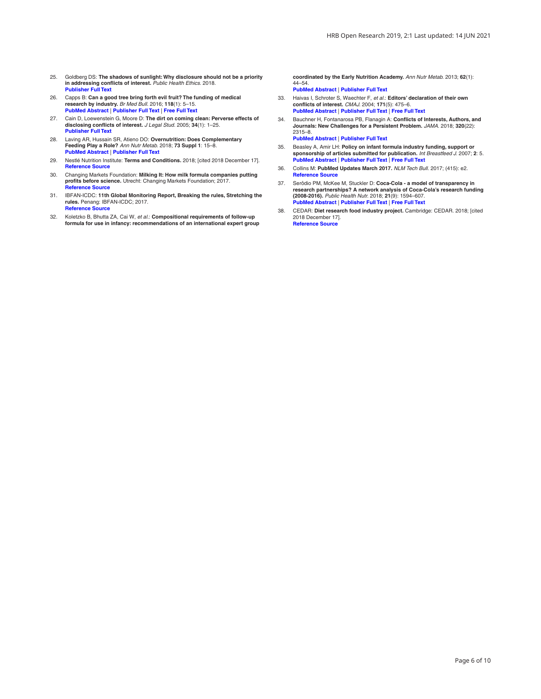- <span id="page-5-0"></span>25. Goldberg DS: **The shadows of sunlight: Why disclosure should not be a priority in addressing conflicts of interest.** *Public Health Ethics.* 2018. **[Publisher](http://dx.doi.org/10.1093/phe/phy016) Full Text**
- 26. Capps B: **Can a good tree bring forth evil fruit? The funding of medical research by industry.** *Br Med Bull.* 2016; **118**(1): 5–15. **PubMed [Abstract](http://www.ncbi.nlm.nih.gov/pubmed/27151955)** | **[Publisher](http://dx.doi.org/10.1093/bmb/ldw014) Full Text** | **[Free](http://www.ncbi.nlm.nih.gov/pmc/articles/5127422) Full Text**
- 27. Cain D, Loewenstein G, Moore D: **The dirt on coming clean: Perverse effects of disclosing conflicts of interest.** *J Legal Stud.* 2005; **34**(1): 1–25. **[Publisher](http://dx.doi.org/10.1086/426699) Full Text**
- 28. Laving AR, Hussain SR, Atieno DO: **Overnutrition: Does Complementary Feeding Play a Role?** *Ann Nutr Metab.* 2018; **73 Suppl 1**: 15–8. **PubMed [Abstract](http://www.ncbi.nlm.nih.gov/pubmed/30196296)** | **[Publisher](http://dx.doi.org/10.1159/000490088) Full Text**
- 29. Nestlé Nutrition Institute: **Terms and Conditions.** 2018; [cited 2018 December 17]. **[Reference](https://www.nestlenutrition-institute.org/country/id/general/terms-and-conditions) Source**
- 30. Changing Markets Foundation: **Milking It: How milk formula companies putting profits before science.** Utrecht: Changing Markets Foundation; 2017. **[Reference](https://changingmarkets.org/wp-content/uploads/2017/10/Milking-it-Final-report-CM.pdf) Source**
- 31. IBFAN-ICDC: **11th Global Monitoring Report, Breaking the rules, Stretching the rules.** Penang: IBFAN-ICDC; 2017. **[Reference](https://www.ibfan-icdc.org/ibfan-icdc-launches-its-11th-global-monitoring-report-breaking-the-rules-stretching-the-rules-2017/) Source**
- 32. Koletzko B, Bhutta ZA, Cai W, *et al.*: **Compositional requirements of follow-up formula for use in infancy: recommendations of an international expert group**

**coordinated by the Early Nutrition Academy.** *Ann Nutr Metab.* 2013; **62**(1): 44–54. **PubMed [Abstract](http://www.ncbi.nlm.nih.gov/pubmed/23258234)** | **[Publisher](http://dx.doi.org/10.1159/000345906) Full Text**

- 33. Haivas I, Schroter S, Waechter F, *et al.*: **Editors' declaration of their own conflicts of interest.** *CMAJ.* 2004; **171**(5): 475–6. **PubMed [Abstract](http://www.ncbi.nlm.nih.gov/pubmed/15337729)** | **[Publisher](http://dx.doi.org/10.1503/cmaj.1031982) Full Text** | **[Free](http://www.ncbi.nlm.nih.gov/pmc/articles/514645) Full Text**
- 34. Bauchner H, Fontanarosa PB, Flanagin A: **Conflicts of Interests, Authors, and Journals: New Challenges for a Persistent Problem.** *JAMA.* 2018; **320**(22): 2315–8. **PubMed [Abstract](http://www.ncbi.nlm.nih.gov/pubmed/30422174)** | **[Publisher](http://dx.doi.org/10.1001/jama.2018.17593) Full Text**
- 35. Beasley A, Amir LH: **Policy on infant formula industry funding, support or sponsorship of articles submitted for publication.** *Int Breastfeed J.* 2007; **2**: 5. **PubMed [Abstract](http://www.ncbi.nlm.nih.gov/pubmed/17341315)** | **[Publisher](http://dx.doi.org/10.1186/1746-4358-2-5) Full Text** | **[Free](http://www.ncbi.nlm.nih.gov/pmc/articles/1821317) Full Text**
- 36. Collins M: **PubMed Updates March 2017.** *NLM Tech Bull.* 2017; (415): e2. **[Reference](https://www.nlm.nih.gov/pubs/techbull/ma17/ma17_pm_update.html) Source**
- 37. Serôdio PM, McKee M, Stuckler D: Coca-Cola a model of transparency in<br>research partnerships? A network analysis of Coca-Cola's research funding **(2008-2016).** *Public Health Nutr.* 2018; **21**(9): 1594–607. **PubMed [Abstract](http://www.ncbi.nlm.nih.gov/pubmed/29560842)** | **[Publisher](http://dx.doi.org/10.1017/S136898001700307X) Full Text** | **[Free](http://www.ncbi.nlm.nih.gov/pmc/articles/5962884) Full Text**
- 38. CEDAR: **Diet research food industry project.** Cambridge: CEDAR. 2018; [cited 2018 December 17]. **[Reference](http://www.cedar.iph.cam.ac.uk/research/dietary-public-health/food-systems-public-health/diet-research-food-industry-project/) Source**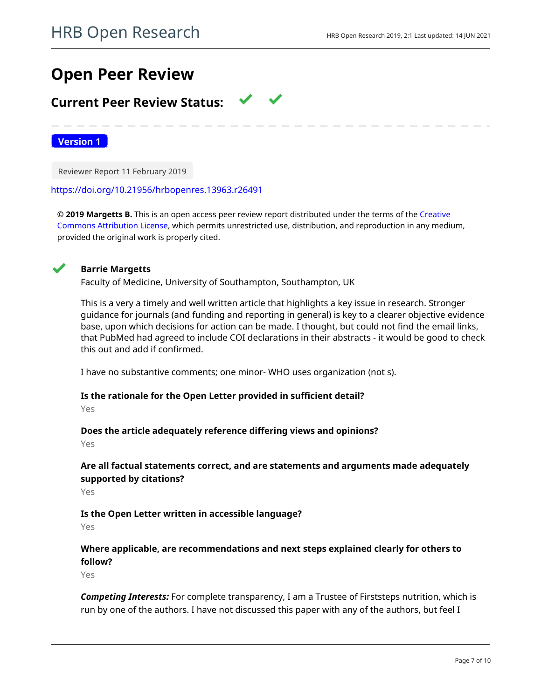# **Open Peer Review**

## **Current Peer Review Status:**

**Version 1**

Reviewer Report 11 February 2019

<https://doi.org/10.21956/hrbopenres.13963.r26491>

**© 2019 Margetts B.** This is an open access peer review report distributed under the terms of the [Creative](https://creativecommons.org/licenses/by/4.0/) [Commons Attribution License](https://creativecommons.org/licenses/by/4.0/), which permits unrestricted use, distribution, and reproduction in any medium, provided the original work is properly cited.



## **Barrie Margetts**

Faculty of Medicine, University of Southampton, Southampton, UK

This is a very a timely and well written article that highlights a key issue in research. Stronger guidance for journals (and funding and reporting in general) is key to a clearer objective evidence base, upon which decisions for action can be made. I thought, but could not find the email links, that PubMed had agreed to include COI declarations in their abstracts - it would be good to check this out and add if confirmed.

I have no substantive comments; one minor- WHO uses organization (not s).

# **Is the rationale for the Open Letter provided in sufficient detail?**

Yes

### **Does the article adequately reference differing views and opinions?**

Yes

## **Are all factual statements correct, and are statements and arguments made adequately supported by citations?**

Yes

## **Is the Open Letter written in accessible language?**

Yes

## **Where applicable, are recommendations and next steps explained clearly for others to follow?**

Yes

*Competing Interests:* For complete transparency, I am a Trustee of Firststeps nutrition, which is run by one of the authors. I have not discussed this paper with any of the authors, but feel I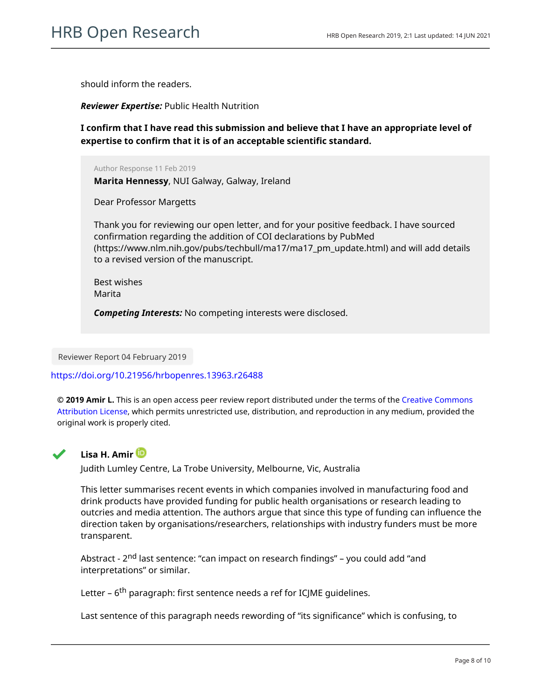should inform the readers.

*Reviewer Expertise:* Public Health Nutrition

**I confirm that I have read this submission and believe that I have an appropriate level of expertise to confirm that it is of an acceptable scientific standard.**

Author Response 11 Feb 2019

**Marita Hennessy**, NUI Galway, Galway, Ireland

Dear Professor Margetts

Thank you for reviewing our open letter, and for your positive feedback. I have sourced confirmation regarding the addition of COI declarations by PubMed (https://www.nlm.nih.gov/pubs/techbull/ma17/ma17\_pm\_update.html) and will add details to a revised version of the manuscript.

Best wishes Marita

*Competing Interests:* No competing interests were disclosed.

Reviewer Report 04 February 2019

### <https://doi.org/10.21956/hrbopenres.13963.r26488>

**© 2019 Amir L.** This is an open access peer review report distributed under the terms of the [Creative Commons](https://creativecommons.org/licenses/by/4.0/) [Attribution License](https://creativecommons.org/licenses/by/4.0/), which permits unrestricted use, distribution, and reproduction in any medium, provided the original work is properly cited.



## **Lisa H. Amir**

Judith Lumley Centre, La Trobe University, Melbourne, Vic, Australia

This letter summarises recent events in which companies involved in manufacturing food and drink products have provided funding for public health organisations or research leading to outcries and media attention. The authors argue that since this type of funding can influence the direction taken by organisations/researchers, relationships with industry funders must be more transparent.

Abstract - 2<sup>nd</sup> last sentence: "can impact on research findings" – you could add "and interpretations" or similar.

Letter – 6<sup>th</sup> paragraph: first sentence needs a ref for ICJME quidelines.

Last sentence of this paragraph needs rewording of "its significance" which is confusing, to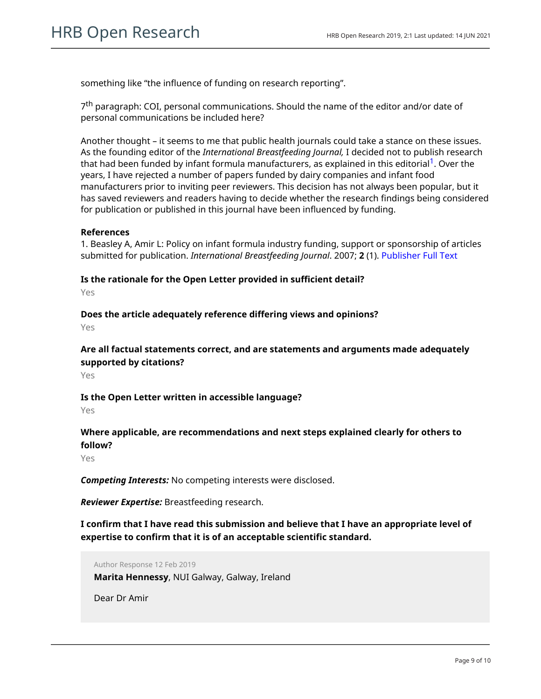something like "the influence of funding on research reporting".

7<sup>th</sup> paragraph: COI, personal communications. Should the name of the editor and/or date of personal communications be included here?

Another thought – it seems to me that public health journals could take a stance on these issues. As the founding editor of the *International Breastfeeding Journal,* I decided not to publish research that had been funded by infant formula manufacturers, as explained in this editorial<sup>[1](jar:file:/work/f1000research/webapps/ROOT/WEB-INF/lib/service-1.0-SNAPSHOT.jar!/com/f1000research/service/export/pdf/#rep-ref-26488-1)</sup>. Over the years, I have rejected a number of papers funded by dairy companies and infant food manufacturers prior to inviting peer reviewers. This decision has not always been popular, but it has saved reviewers and readers having to decide whether the research findings being considered for publication or published in this journal have been influenced by funding.

## **References**

1. Beasley A, Amir L: Policy on infant formula industry funding, support or sponsorship of articles submitted for publication. *International Breastfeeding Journal*. 2007; **2** (1). [Publisher Full Text](https://doi.org/10.1186/1746-4358-2-5)

**Is the rationale for the Open Letter provided in sufficient detail?** Yes

**Does the article adequately reference differing views and opinions?**

Yes

**Are all factual statements correct, and are statements and arguments made adequately supported by citations?**

Yes

**Is the Open Letter written in accessible language?**

Yes

## **Where applicable, are recommendations and next steps explained clearly for others to follow?**

Yes

*Competing Interests:* No competing interests were disclosed.

*Reviewer Expertise:* Breastfeeding research.

**I confirm that I have read this submission and believe that I have an appropriate level of expertise to confirm that it is of an acceptable scientific standard.**

Author Response 12 Feb 2019

**Marita Hennessy**, NUI Galway, Galway, Ireland

Dear Dr Amir